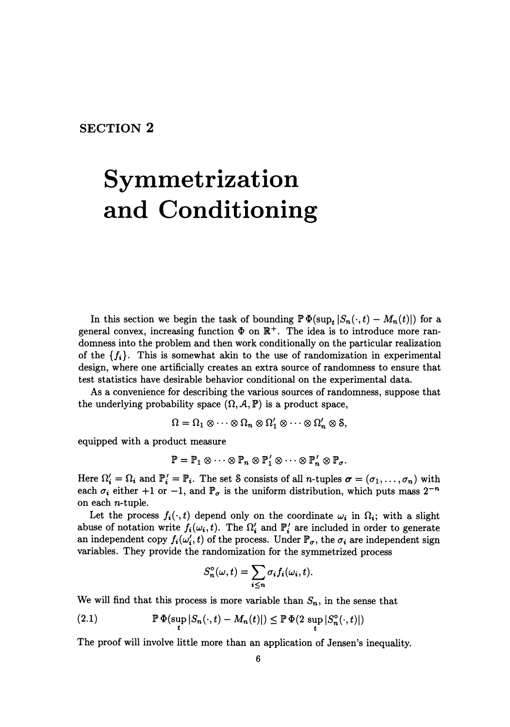## **SECTION 2**

## **Symmetrization and Conditioning**

In this section we begin the task of bounding  $\mathbb{P}\Phi(\sup_t |S_n(\cdot,t)-M_n(t)|)$  for a general convex, increasing function  $\Phi$  on  $\mathbb{R}^+$ . The idea is to introduce more randomness into the problem and then work conditionally on the particular realization of the  ${f_i}$ . This is somewhat akin to the use of randomization in experimental design, where one artificially creates an extra source of randomness to ensure that test statistics have desirable behavior conditional on the experimental data.

As a convenience for describing the various sources of randomness, suppose that the underlying probability space  $(\Omega, \mathcal{A}, \mathbb{P})$  is a product space,

$$
\Omega = \Omega_1 \otimes \cdots \otimes \Omega_n \otimes \Omega'_1 \otimes \cdots \otimes \Omega'_n \otimes \mathcal{S},
$$

equipped with a product measure

$$
\mathbb{P} = \mathbb{P}_1 \otimes \cdots \otimes \mathbb{P}_n \otimes \mathbb{P}'_1 \otimes \cdots \otimes \mathbb{P}'_n \otimes \mathbb{P}_\sigma.
$$

Here  $\Omega'_i = \Omega_i$  and  $\mathbb{P}'_i = \mathbb{P}_i$ . The set S consists of all *n*-tuples  $\sigma = (\sigma_1, \ldots, \sigma_n)$  with each  $\sigma_i$  either +1 or -1, and  $\mathbb{P}_{\sigma}$  is the uniform distribution, which puts mass  $2^{-n}$ on each n-tuple.

Let the process  $f_i(\cdot, t)$  depend only on the coordinate  $\omega_i$  in  $\Omega_i$ ; with a slight abuse of notation write  $f_i(\omega_i, t)$ . The  $\Omega'_i$  and  $\mathbb{P}'_i$  are included in order to generate an independent copy  $f_i(\omega'_i, t)$  of the process. Under  $\mathbb{P}_{\sigma}$ , the  $\sigma_i$  are independent sign variables. They provide the randomization for the symmetrized process

$$
S_n^{\circ}(\omega, t) = \sum_{i \leq n} \sigma_i f_i(\omega_i, t).
$$

We will find that this process is more variable than  $S_n$ , in the sense that

(2.1) 
$$
\mathbb{P}\,\Phi(\sup_{t}|S_n(\cdot,t)-M_n(t)|)\leq \mathbb{P}\,\Phi(2\,\sup_{t}|S_n^{\circ}(\cdot,t)|)
$$

The proof will involve little more than an application of Jensen's inequality.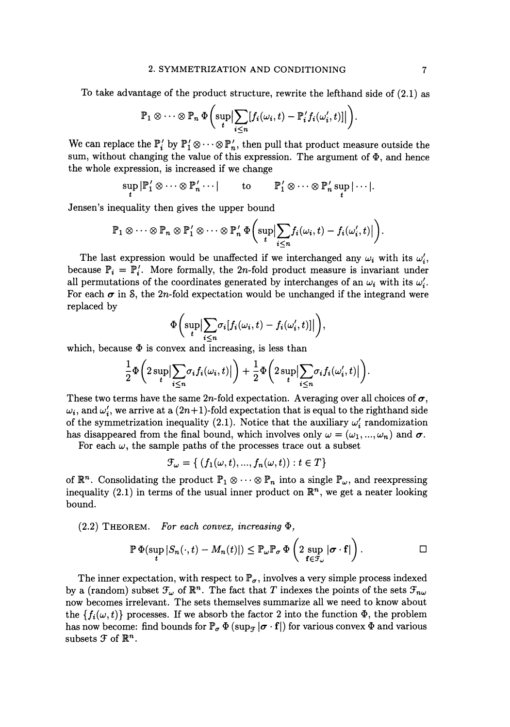To take advantage of the product structure, rewrite the lefthand side of (2.1) as

$$
\mathbb{P}_1\otimes\cdots\otimes\mathbb{P}_n\,\Phi\bigg(\sup_t\big|\sum_{i\leq n}[f_i(\omega_i,t)-\mathbb{P}'_if_i(\omega'_i,t)]\big|\bigg).
$$

We can replace the  $\mathbb{P}'_i$  by  $\mathbb{P}'_1 \otimes \cdots \otimes \mathbb{P}'_n$ , then pull that product measure outside the sum, without changing the value of this expression. The argument of  $\Phi$ , and hence the whole expression, is increased if we change

$$
\sup_t |\mathbb{P}'_1 \otimes \cdots \otimes \mathbb{P}'_n \cdots| \qquad \text{to} \qquad \mathbb{P}'_1 \otimes \cdots \otimes \mathbb{P}'_n \sup_t |\cdots|.
$$

Jensen's inequality then gives the upper bound

$$
\mathbb{P}_1 \otimes \cdots \otimes \mathbb{P}_n \otimes \mathbb{P}'_1 \otimes \cdots \otimes \mathbb{P}'_n \Phi \bigg(\sup_t \Big| \sum_{i \leq n} f_i(\omega_i, t) - f_i(\omega'_i, t) \Big| \bigg).
$$

The last expression would be unaffected if we interchanged any  $\omega_i$  with its  $\omega'_i$ , because  $\mathbb{P}_i = \mathbb{P}'_i$ . More formally, the 2n-fold product measure is invariant under all permutations of the coordinates generated by interchanges of an  $\omega_i$  with its  $\omega'_i$ . For each  $\sigma$  in S, the 2n-fold expectation would be unchanged if the integrand were replaced by

$$
\Phi\bigg(\sup_t \Bigl|\sum_{i\leq n}\sigma_i[f_i(\omega_i,t)-f_i(\omega'_i,t)]\Bigr|\bigg),
$$

which, because  $\Phi$  is convex and increasing, is less than

$$
\frac{1}{2}\Phi\bigg(2\sup_{t}\Big|\sum_{i\leq n}\sigma_{i}f_{i}(\omega_{i},t)\Big|\bigg)+\frac{1}{2}\Phi\bigg(2\sup_{t}\Big|\sum_{i\leq n}\sigma_{i}f_{i}(\omega'_{i},t)\Big|\bigg).
$$

These two terms have the same 2n-fold expectation. Averaging over all choices of  $\sigma$ ,  $\omega_i$ , and  $\omega'_i$ , we arrive at a  $(2n+1)$ -fold expectation that is equal to the right hand side of the symmetrization inequality (2.1). Notice that the auxiliary  $\omega'_i$  randomization has disappeared from the final bound, which involves only  $\omega = (\omega_1, ..., \omega_n)$  and  $\sigma$ .

For each  $\omega$ , the sample paths of the processes trace out a subset

$$
\mathcal{F}_{\omega} = \{ (f_1(\omega, t), ..., f_n(\omega, t)) : t \in T \}
$$

of  $\mathbb{R}^n$ . Consolidating the product  $\mathbb{P}_1 \otimes \cdots \otimes \mathbb{P}_n$  into a single  $\mathbb{P}_\omega$ , and reexpressing inequality (2.1) in terms of the usual inner product on  $\mathbb{R}^n$ , we get a neater looking bound.

 $(2.2)$  THEOREM. For each convex, increasing  $\Phi$ ,

$$
\mathbb{P}\,\Phi(\sup_{t}|S_n(\cdot,t)-M_n(t)|)\leq \mathbb{P}_{\omega}\mathbb{P}_{\sigma}\,\Phi\left(2\sup_{\mathbf{f}\in\mathcal{F}_{\omega}}|\boldsymbol{\sigma}\cdot\mathbf{f}|\right).
$$

The inner expectation, with respect to  $\mathbb{P}_{\sigma}$ , involves a very simple process indexed by a (random) subset  $\mathcal{F}_{\omega}$  of  $\mathbb{R}^n$ . The fact that *T* indexes the points of the sets  $\mathcal{F}_{n\omega}$ now becomes irrelevant. The sets themselves summarize all we need to know about the  ${f_i(\omega, t)}$  processes. If we absorb the factor 2 into the function  $\Phi$ , the problem has now become: find bounds for  $\mathbb{P}_{\sigma} \Phi$  (sup<sub> $\tau$ </sub>  $|\sigma \cdot \mathbf{f}|$ ) for various convex  $\Phi$  and various subsets  $\mathcal F$  of  $\mathbb R^n$ .